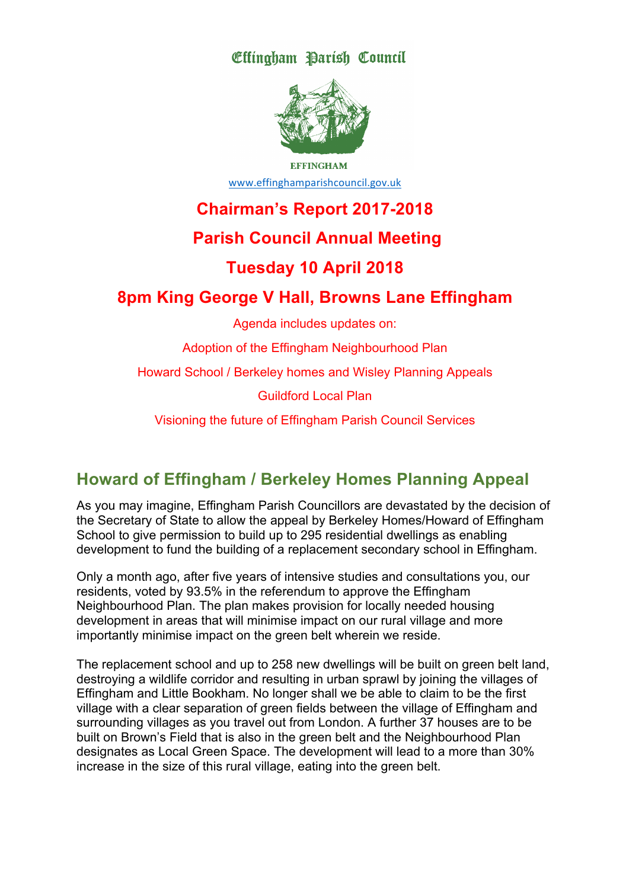Effingham Parish Council



**EFFINGHAM** www.effinghamparishcouncil.gov.uk

# **Chairman's Report 2017-2018**

# **Parish Council Annual Meeting**

## **Tuesday 10 April 2018**

# **8pm King George V Hall, Browns Lane Effingham**

Agenda includes updates on:

Adoption of the Effingham Neighbourhood Plan

Howard School / Berkeley homes and Wisley Planning Appeals

Guildford Local Plan

Visioning the future of Effingham Parish Council Services

# **Howard of Effingham / Berkeley Homes Planning Appeal**

As you may imagine, Effingham Parish Councillors are devastated by the decision of the Secretary of State to allow the appeal by Berkeley Homes/Howard of Effingham School to give permission to build up to 295 residential dwellings as enabling development to fund the building of a replacement secondary school in Effingham.

Only a month ago, after five years of intensive studies and consultations you, our residents, voted by 93.5% in the referendum to approve the Effingham Neighbourhood Plan. The plan makes provision for locally needed housing development in areas that will minimise impact on our rural village and more importantly minimise impact on the green belt wherein we reside.

The replacement school and up to 258 new dwellings will be built on green belt land, destroying a wildlife corridor and resulting in urban sprawl by joining the villages of Effingham and Little Bookham. No longer shall we be able to claim to be the first village with a clear separation of green fields between the village of Effingham and surrounding villages as you travel out from London. A further 37 houses are to be built on Brown's Field that is also in the green belt and the Neighbourhood Plan designates as Local Green Space. The development will lead to a more than 30% increase in the size of this rural village, eating into the green belt.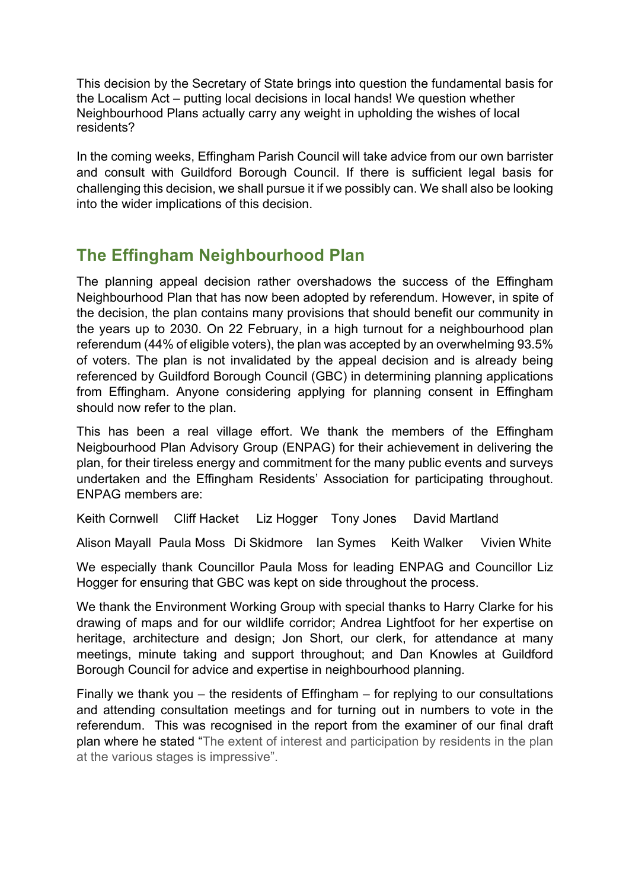This decision by the Secretary of State brings into question the fundamental basis for the Localism Act – putting local decisions in local hands! We question whether Neighbourhood Plans actually carry any weight in upholding the wishes of local residents?

In the coming weeks, Effingham Parish Council will take advice from our own barrister and consult with Guildford Borough Council. If there is sufficient legal basis for challenging this decision, we shall pursue it if we possibly can. We shall also be looking into the wider implications of this decision.

# **The Effingham Neighbourhood Plan**

The planning appeal decision rather overshadows the success of the Effingham Neighbourhood Plan that has now been adopted by referendum. However, in spite of the decision, the plan contains many provisions that should benefit our community in the years up to 2030. On 22 February, in a high turnout for a neighbourhood plan referendum (44% of eligible voters), the plan was accepted by an overwhelming 93.5% of voters. The plan is not invalidated by the appeal decision and is already being referenced by Guildford Borough Council (GBC) in determining planning applications from Effingham. Anyone considering applying for planning consent in Effingham should now refer to the plan.

This has been a real village effort. We thank the members of the Effingham Neigbourhood Plan Advisory Group (ENPAG) for their achievement in delivering the plan, for their tireless energy and commitment for the many public events and surveys undertaken and the Effingham Residents' Association for participating throughout. ENPAG members are:

Keith Cornwell Cliff Hacket Liz Hogger Tony Jones David Martland

Alison Mayall Paula Moss Di Skidmore Ian Symes Keith Walker Vivien White

We especially thank Councillor Paula Moss for leading ENPAG and Councillor Liz Hogger for ensuring that GBC was kept on side throughout the process.

We thank the Environment Working Group with special thanks to Harry Clarke for his drawing of maps and for our wildlife corridor; Andrea Lightfoot for her expertise on heritage, architecture and design; Jon Short, our clerk, for attendance at many meetings, minute taking and support throughout; and Dan Knowles at Guildford Borough Council for advice and expertise in neighbourhood planning.

Finally we thank you – the residents of Effingham – for replying to our consultations and attending consultation meetings and for turning out in numbers to vote in the referendum. This was recognised in the report from the examiner of our final draft plan where he stated "The extent of interest and participation by residents in the plan at the various stages is impressive".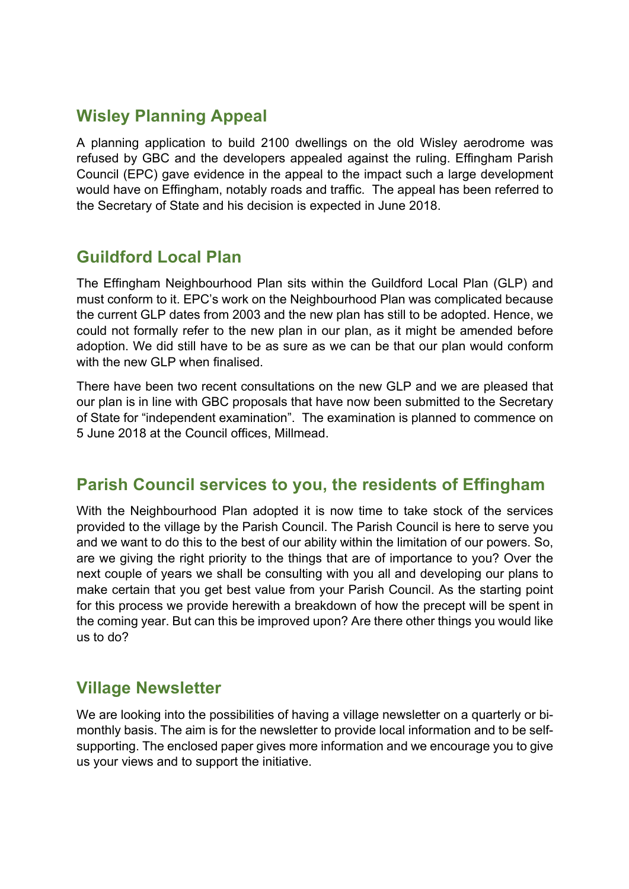## **Wisley Planning Appeal**

A planning application to build 2100 dwellings on the old Wisley aerodrome was refused by GBC and the developers appealed against the ruling. Effingham Parish Council (EPC) gave evidence in the appeal to the impact such a large development would have on Effingham, notably roads and traffic. The appeal has been referred to the Secretary of State and his decision is expected in June 2018.

#### **Guildford Local Plan**

The Effingham Neighbourhood Plan sits within the Guildford Local Plan (GLP) and must conform to it. EPC's work on the Neighbourhood Plan was complicated because the current GLP dates from 2003 and the new plan has still to be adopted. Hence, we could not formally refer to the new plan in our plan, as it might be amended before adoption. We did still have to be as sure as we can be that our plan would conform with the new GLP when finalised.

There have been two recent consultations on the new GLP and we are pleased that our plan is in line with GBC proposals that have now been submitted to the Secretary of State for "independent examination". The examination is planned to commence on 5 June 2018 at the Council offices, Millmead.

## **Parish Council services to you, the residents of Effingham**

With the Neighbourhood Plan adopted it is now time to take stock of the services provided to the village by the Parish Council. The Parish Council is here to serve you and we want to do this to the best of our ability within the limitation of our powers. So, are we giving the right priority to the things that are of importance to you? Over the next couple of years we shall be consulting with you all and developing our plans to make certain that you get best value from your Parish Council. As the starting point for this process we provide herewith a breakdown of how the precept will be spent in the coming year. But can this be improved upon? Are there other things you would like us to do?

## **Village Newsletter**

We are looking into the possibilities of having a village newsletter on a quarterly or bimonthly basis. The aim is for the newsletter to provide local information and to be selfsupporting. The enclosed paper gives more information and we encourage you to give us your views and to support the initiative.